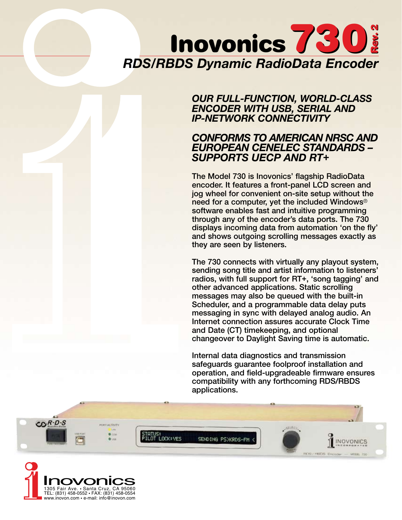# *RDS/RBDS Dynamic RadioData Encoder* Inovonics 730

## *OUR FULL-FUNCTION, WORLD-CLASS ENCODER WITH USB, SERIAL AND IP-NETWORK CONNECTIVITY*

# *CONFORMS TO AMERICAN NRSC AND EUROPEAN CENELEC STANDARDS – SUPPORTS UECP AND RT+*

The Model 730 is Inovonics' flagship RadioData encoder. It features a front-panel LCD screen and jog wheel for convenient on-site setup without the need for a computer, yet the included Windows® software enables fast and intuitive programming through any of the encoder's data ports. The 730 displays incoming data from automation 'on the fly' and shows outgoing scrolling messages exactly as they are seen by listeners.

The 730 connects with virtually any playout system, sending song title and artist information to listeners' radios, with full support for RT+, 'song tagging' and other advanced applications. Static scrolling messages may also be queued with the built-in Scheduler, and a programmable data delay puts messaging in sync with delayed analog audio. An Internet connection assures accurate Clock Time and Date (CT) timekeeping, and optional changeover to Daylight Saving time is automatic.

Internal data diagnostics and transmission safeguards guarantee foolproof installation and operation, and field-upgradeable firmware ensures compatibility with any forthcoming RDS/RBDS applications.



www.inovon.com • e-mail: info@inovon.com